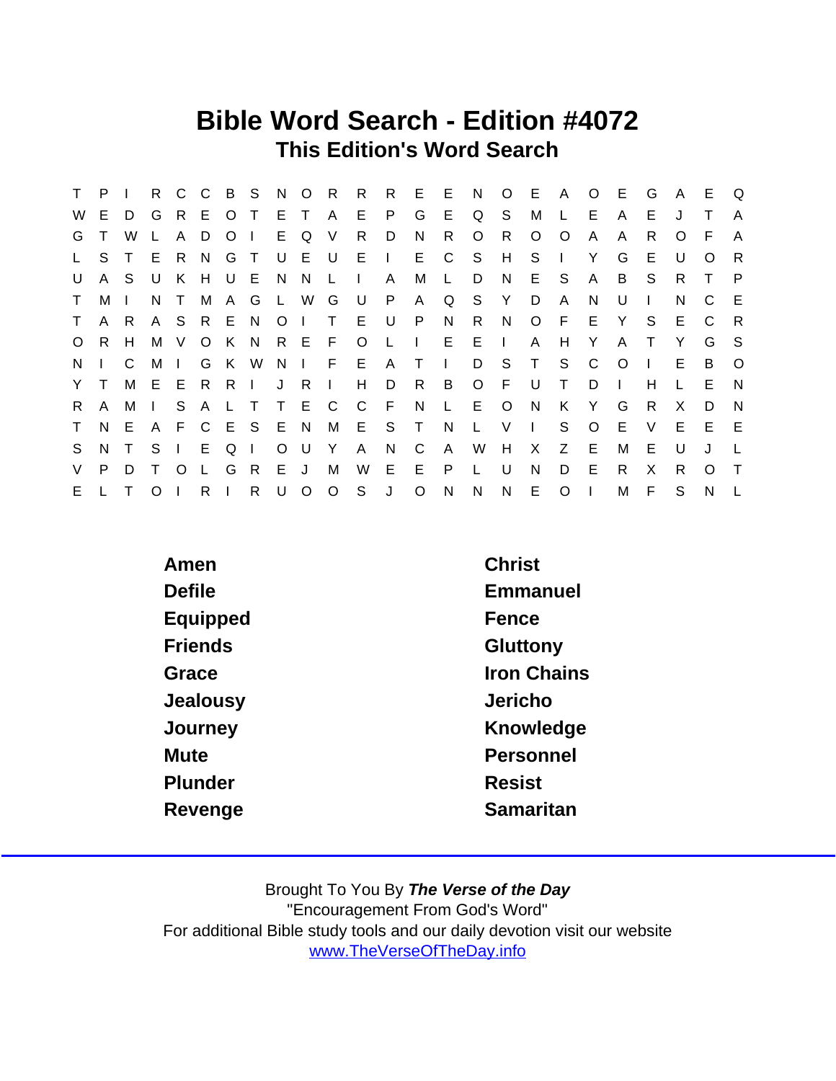### Bible Word Search - Edition #4072 This Edition's Word Search

| T.           | P.           |     |                | R C C        |                | B S     |                |         | N O            | R        | R            |              | R E E N      |              |              |                | O E A      |              | $\circ$      | - E     | G            | $\mathsf{A}$ | E        | Q            |
|--------------|--------------|-----|----------------|--------------|----------------|---------|----------------|---------|----------------|----------|--------------|--------------|--------------|--------------|--------------|----------------|------------|--------------|--------------|---------|--------------|--------------|----------|--------------|
| W            | E.           | D   | G              |              | R E            | $\circ$ | $\top$         | E T     |                | <b>A</b> | E.           | P            | G            | E            | Q            | S              | M          |              | Е            | A       | Е            |              |          | A            |
| G            | T.           | W   |                | A            | D.             | O       | $\Box$         |         | E Q            | V        | R.           | D            | N.           | R.           | O            | R.             | $\circ$    | $\circ$      | A            | A       | R.           | $\Omega$     | -F       | A            |
| $\mathsf{L}$ | S.           |     | E              | R.           | N <sub>N</sub> | G       | $\top$         |         | UEU            |          | E.           | $\sim 1$ .   | E            | C            | S.           | H              | S.         | $\mathbf{I}$ | Y            | G       | E            | U            | O        | -R           |
| U            |              | A S | U              | K            | H              |         | UE             | N       | N,             | <b>L</b> | $\Box$       | A            | М            | $\mathsf{L}$ | D            | N              | E S        |              | $\mathsf{A}$ | B       | S.           | R.           | $\top$   | $\mathsf{P}$ |
| $\mathsf T$  | M I          |     | N.             | $\top$       | M              |         | A G            | L W     |                | G        | . U          | P            | $\mathsf{A}$ | Q            |              | S Y            | D          | A            | N            | U       | $\mathbf{I}$ | N            | C        | - E          |
| $\top$       |              | A R |                | A S R        |                | E       | N.             | $\circ$ | $\blacksquare$ |          | E U          |              | P            | N.           | R            | N              | $\circ$    | - F          | E.           | Y       | S.           | E.           | C        | R            |
| $\circ$      | R.           | H   |                | M V          | $\circ$        | K N     |                |         | R E F          |          | $\circ$      | $\mathsf{L}$ | $\sim 1$     |              | $E$ $E$      | $\mathbb{R}^n$ | A          | H            | Y            | A       |              | Y            | G        | - S          |
| N.           | $\mathbf{L}$ | C   | M              | $\Box$       | G              |         | K W            |         |                | N I F    | E.           |              | A T          | $\sim 1$ .   | D            | S.             | $\top$     | S.           | C            | $\circ$ | $\mathbf{L}$ | E            | B        | $\circ$      |
| Y T          |              | М   | EE             |              | R              | R.      | $\sim 1$ .     | J       | - R            | $\Box$   | H            | D            | R            | B            | $\circ$      | E              | U          | T.           | D            |         | н            |              | E        | <b>N</b>     |
| R.           | A            | M   | $\mathbb{R}^n$ |              | S A            | L T     |                |         | T E C          |          | $\mathsf{C}$ | F            | N            | $\mathsf{L}$ | E            | $\circ$        | N          | K            | Y            | G       | R            | X            | D        | <sup>N</sup> |
| T.           | N.           | E.  | A              |              | F C            |         | E S E N        |         |                | M        |              | E S          | $\top$       | N            | L.           | V              | $\sim 1$ . | S            | $\circ$      | Е       | V            | E.           | E        | E            |
| S.           |              | N T | S.             | $\mathbf{I}$ | E.             | Q       | $\blacksquare$ | $\circ$ | - U            | - Y      | A            | N            | C            | A            | W            | H              | X.         | Z            | E            | м       | E            | U            | J        |              |
| V            | P.           | D   |                | $\Omega$     |                | G       | R.             | E J     |                | M        | W            | E.           | E            | P            | $\perp$      | U              | N          | D            | E            | R       | X            | R.           | $\Omega$ | $\top$       |
| E.           |              |     | $\circ$        |              | R              |         | $\mathsf{R}$   | U       | $\circ$        | $\circ$  | S            | J            | $\circ$      | $\mathsf{N}$ | $\mathsf{N}$ | N              | E.         | $\circ$      | $\mathbf{L}$ | M       | F            | S            | N        |              |

| Amen           | <b>Christ</b>      |
|----------------|--------------------|
| <b>Defile</b>  | Emmanuel           |
| Equipped       | Fence              |
| <b>Friends</b> | Gluttony           |
| Grace          | <b>Iron Chains</b> |
| Jealousy       | Jericho            |
| Journey        | Knowledge          |
| Mute           | Personnel          |
| Plunder        | <b>Resist</b>      |
| Revenge        | Samaritan          |
|                |                    |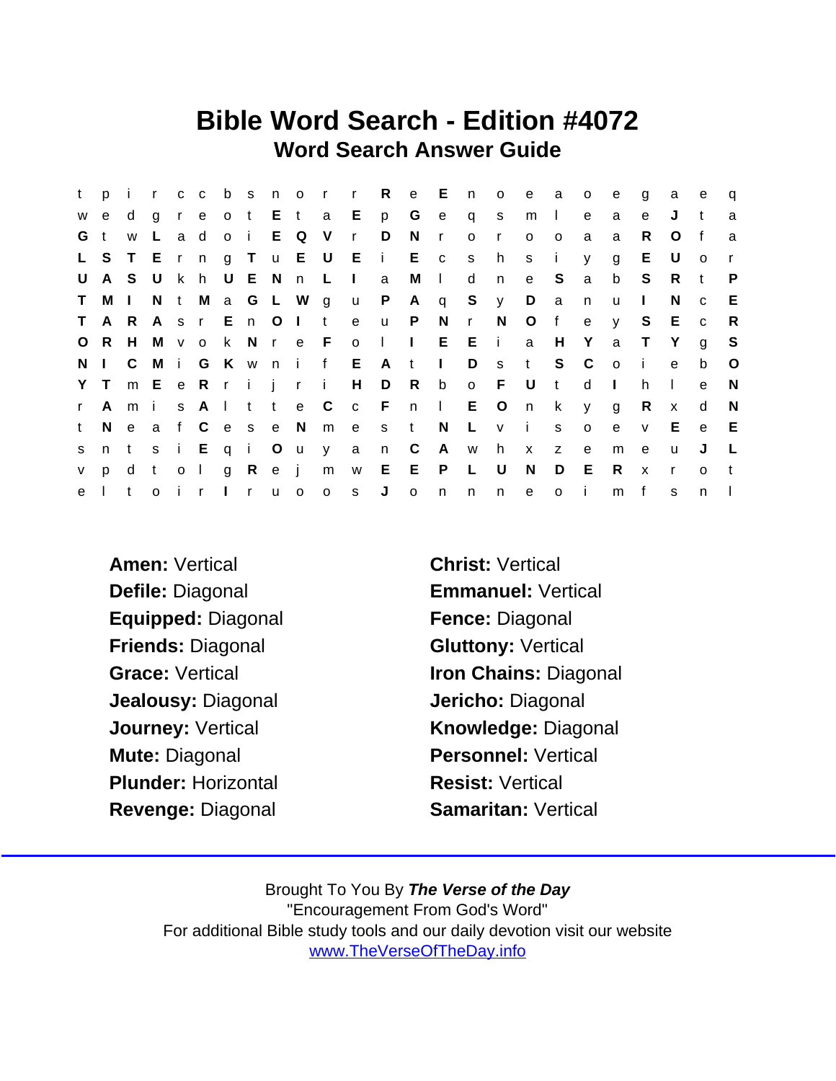### Bible Word Search - Edition #4072 Word Search Answer Guide

| t.          | pi          |       |              |     |           |              |      |                   |              | r c c b s n o r r R   |         | e E            |                | $\mathsf{n}$ | $\circ$      | e –          | a              | $\circ$      | e       | g            | a            | e            | $\mathsf{q}$ |
|-------------|-------------|-------|--------------|-----|-----------|--------------|------|-------------------|--------------|-----------------------|---------|----------------|----------------|--------------|--------------|--------------|----------------|--------------|---------|--------------|--------------|--------------|--------------|
| W           | e           | d     | a            |     | r e       |              |      |                   |              | o t E t a E p         |         | G              | $\mathbf{e}$   | $\mathsf{q}$ | S            | m            | $\mathbb{R}$   | e            | a       | e            | J            | t            | a            |
| G           | $\mathbf t$ | W     | L.           |     | a d       |              |      | o i E Q V         |              | $\mathsf{r}$          | D       | N              | $\mathsf{r}$   | $\circ$      | $\mathsf{r}$ | $\circ$      | $\circ$        | a            | a       | R.           | O            | f            | a            |
|             | L S         |       |              |     |           |              |      |                   |              | T E r n g T u E U E i |         | E c            |                | S            | h            | S.           | j.             | y.           | g       | E.           | U            | $\Omega$     |              |
| U           |             | A S U |              |     | k h U E N |              |      | n                 | $\mathsf{L}$ | $\Box$                | a       | М              | $\sim 1$ .     | d            | n            | e            | S              | $\mathsf{a}$ | b       | S            | $\mathsf{R}$ | $-t$         | P            |
| $\mathsf T$ | M I         |       |              |     |           |              |      | N t M a G L W g   |              | u P                   |         | $\mathsf{A}$   |                |              | q S y        | D            | $\overline{a}$ | n            | u       | $\mathbf{I}$ | N            | $\mathbf C$  | E            |
| T.          |             | A R   |              |     |           |              |      | A s r E n O I t   |              | e                     | u P     |                | N              | $\mathbf{r}$ | N.           | $\circ$      | f              | e            | V       | S.           | E c          |              | R.           |
|             | O R         | H     |              |     |           |              |      |                   |              | M v o k N r e F o I   |         | $\mathbb{R}^n$ |                | $E$ $E$ $i$  |              | a            | H              | Y            | a       | $\top$       | Y            | $\mathbf{q}$ | S.           |
|             | N I         | C.    |              |     |           |              |      |                   |              | M i G K w n i f E     | A t     |                | $\mathbb{R}^n$ | D            |              | s t          | S              | $\mathbf{C}$ | $\circ$ | - i -        | e            | b            | $\circ$      |
|             | Y T         |       |              |     |           |              |      | m E e R r i j r i |              |                       | $H$ D   | R              | $\mathsf{b}$   | o F          |              | U            | $-t$           | d            | $\perp$ | h.           |              | $\mathbf{e}$ | N            |
| r           | A           | mi    |              |     |           |              |      | s A I t t e C     |              |                       |         | c F n I        |                | E O          |              | n            | k.             | <b>y</b>     | g       | R            | $\mathsf{x}$ | d            | N            |
| t.          | N.          | e a   |              |     |           |              |      | f C e s e N       | m e          |                       | s t     |                | N              | $\mathsf{L}$ | v i          |              | s              | $\circ$      | e       | $\mathsf{V}$ | Е            | e            | E            |
| S           | n t         |       | S            |     | i Eqi Ou  |              |      |                   | y            | $\mathbf{a}$          | n       | C              |                |              | A w h        | $\mathsf{x}$ | Z              | $\mathbf{e}$ | m       | e            | u            | J            |              |
| V.          | p.          | d     | $\mathbf{t}$ |     | $0-1$     | $\mathbf{g}$ | Rej  |                   |              | m w                   | $E$ $E$ |                | $\mathsf{P}$   | L.           | U            | N.           | D              | E.           | R.      | $\mathsf{x}$ | $\mathsf{r}$ | $\Omega$     |              |
| e           |             | t     | $\Omega$     | i r |           |              | l ru | $\mathsf{o}$      | $\circ$      | S                     | J       | $\circ$        | n              | n            | n.           | $\mathbf{e}$ | $\circ$        | $\mathbf{I}$ | m       | f            | s            | n.           |              |

Amen: Vertical Christ: Vertical Defile: Diagonal **Emmanuel: Vertical** Equipped: Diagonal Fence: Diagonal Friends: Diagonal Gluttony: Vertical Jealousy: Diagonal Jericho: Diagonal Mute: Diagonal **Personnel: Vertical** Plunder: Horizontal Resist: Vertical Revenge: Diagonal Samaritan: Vertical

Grace: Vertical **Iron Chains: Diagonal** Journey: Vertical **Knowledge: Diagonal**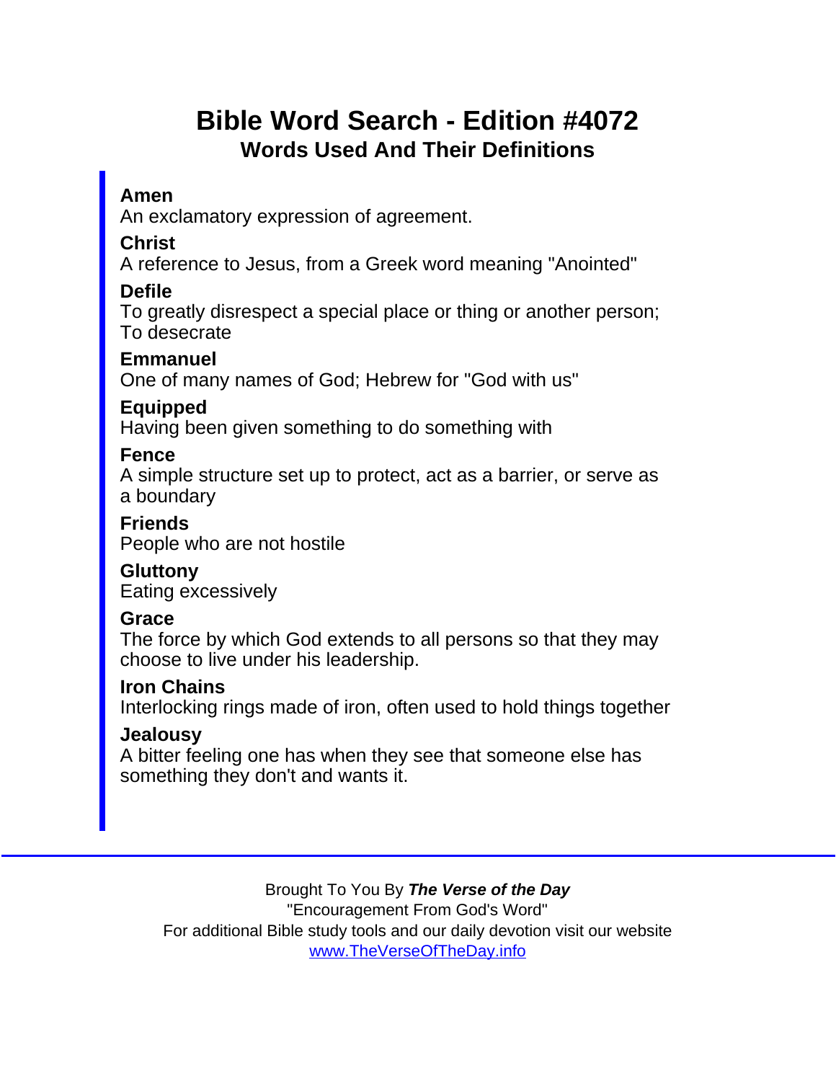# Bible Word Search - Edition #4072 Words Used And Their Definitions

### Amen

An exclamatory expression of agreement.

**Christ** 

A reference to Jesus, from a Greek word meaning "Anointed"

Defile

To greatly disrespect a special place or thing or another person; To desecrate

**Emmanuel** 

One of many names of God; Hebrew for "God with us"

Equipped

Having been given something to do something with

Fence

A simple structure set up to protect, act as a barrier, or serve as a boundary

Friends People who are not hostile

**Gluttony** Eating excessively

**Grace** 

The force by which God extends to all persons so that they may choose to live under his leadership.

Iron Chains

Interlocking rings made of iron, often used to hold things together

**Jealousy** 

A bitter feeling one has when they see that someone else has something they don't and wants it.